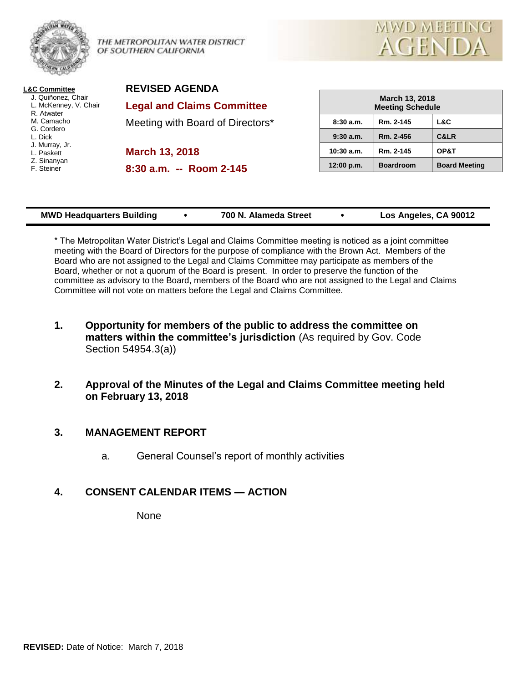

THE METROPOLITAN WATER DISTRICT OF SOUTHERN CALIFORNIA



| <b>L&amp;C Committee</b> |
|--------------------------|
| J. Quiñonez, Chair       |
| L. McKenney, V. Chair    |
| R. Atwater               |
| M. Camacho               |
| G. Cordero               |
| L. Dick                  |
| J. Murray, Jr.           |
| L. Paskett               |
| Z. Sinanyan              |
| F. Steiner               |
|                          |

**REVISED AGENDA Legal and Claims Committee**

Meeting with Board of Directors\*

**March 13, 2018**

**8:30 a.m. -- Room 2-145**

| March 13, 2018<br><b>Meeting Schedule</b> |                  |                      |  |  |  |
|-------------------------------------------|------------------|----------------------|--|--|--|
| 8:30a.m.                                  | Rm. 2-145        | L&C                  |  |  |  |
| 9:30a.m.                                  | Rm. 2-456        | <b>C&amp;LR</b>      |  |  |  |
| $10:30$ a.m.                              | Rm. 2-145        | OP&T                 |  |  |  |
| 12:00 p.m.                                | <b>Boardroom</b> | <b>Board Meeting</b> |  |  |  |

| Los Angeles, CA 90012<br>700 N. Alameda Street<br><b>MWD Headquarters Building</b> |  |  |  |  |  |
|------------------------------------------------------------------------------------|--|--|--|--|--|
|------------------------------------------------------------------------------------|--|--|--|--|--|

\* The Metropolitan Water District's Legal and Claims Committee meeting is noticed as a joint committee meeting with the Board of Directors for the purpose of compliance with the Brown Act. Members of the Board who are not assigned to the Legal and Claims Committee may participate as members of the Board, whether or not a quorum of the Board is present. In order to preserve the function of the committee as advisory to the Board, members of the Board who are not assigned to the Legal and Claims Committee will not vote on matters before the Legal and Claims Committee.

- **1. Opportunity for members of the public to address the committee on matters within the committee's jurisdiction** (As required by Gov. Code Section 54954.3(a))
- **2. Approval of the Minutes of the Legal and Claims Committee meeting held on February 13, 2018**

# **3. MANAGEMENT REPORT**

a. General Counsel's report of monthly activities

# **4. CONSENT CALENDAR ITEMS — ACTION**

None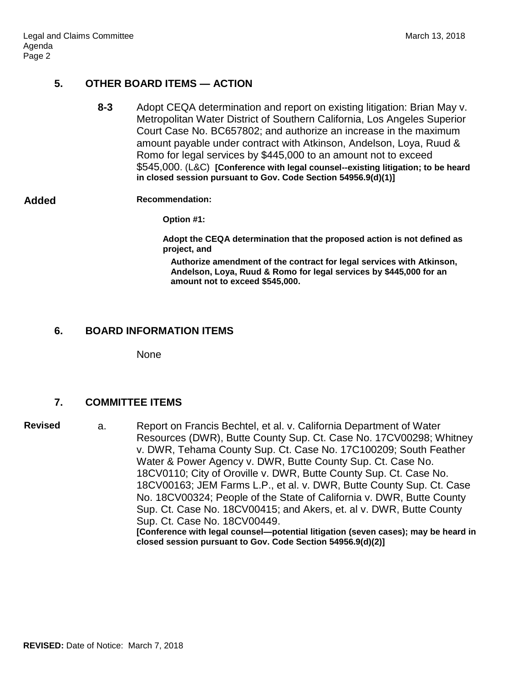## **5. OTHER BOARD ITEMS — ACTION**

**8-3** Adopt CEQA determination and report on existing litigation: Brian May v. Metropolitan Water District of Southern California, Los Angeles Superior Court Case No. BC657802; and authorize an increase in the maximum amount payable under contract with Atkinson, Andelson, Loya, Ruud & Romo for legal services by \$445,000 to an amount not to exceed \$545,000. (L&C) **[Conference with legal counsel--existing litigation; to be heard in closed session pursuant to Gov. Code Section 54956.9(d)(1)]**

#### **Added Recommendation:**

**Option #1:**

**Adopt the CEQA determination that the proposed action is not defined as project, and**

**Authorize amendment of the contract for legal services with Atkinson, Andelson, Loya, Ruud & Romo for legal services by \$445,000 for an amount not to exceed \$545,000.**

### **6. BOARD INFORMATION ITEMS**

None

### **7. COMMITTEE ITEMS**

**Revised** a. Report on Francis Bechtel, et al. v. California Department of Water Resources (DWR), Butte County Sup. Ct. Case No. 17CV00298; Whitney v. DWR, Tehama County Sup. Ct. Case No. 17C100209; South Feather Water & Power Agency v. DWR, Butte County Sup. Ct. Case No. 18CV0110; City of Oroville v. DWR, Butte County Sup. Ct. Case No. 18CV00163; JEM Farms L.P., et al. v. DWR, Butte County Sup. Ct. Case No. 18CV00324; People of the State of California v. DWR, Butte County Sup. Ct. Case No. 18CV00415; and Akers, et. al v. DWR, Butte County Sup. Ct. Case No. 18CV00449. **[Conference with legal counsel—potential litigation (seven cases); may be heard in closed session pursuant to Gov. Code Section 54956.9(d)(2)]**